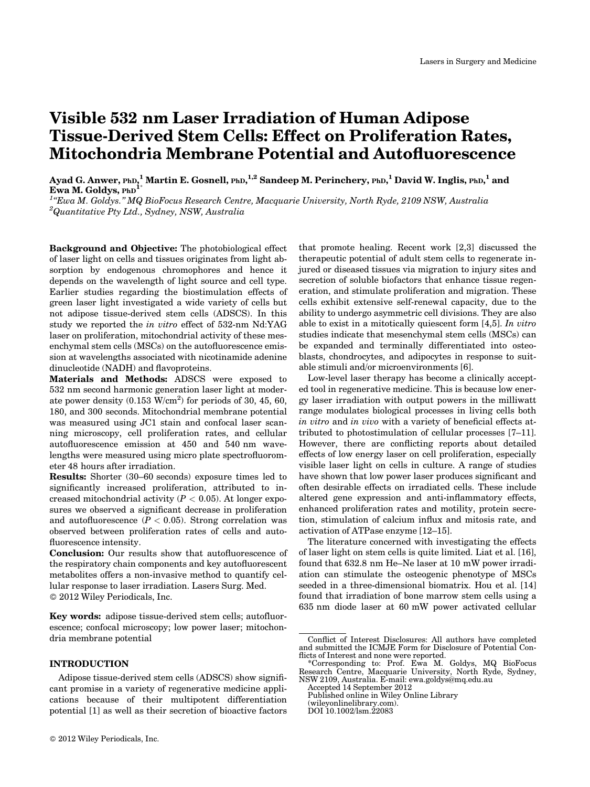# Visible 532 nm Laser Irradiation of Human Adipose Tissue-Derived Stem Cells: Effect on Proliferation Rates, Mitochondria Membrane Potential and Autofluorescence

Ayad G. Anwer, <sub>PhD,</sub>  $^1$  Martin E. Gosnell, <sub>PhD,</sub>  $^{1,2}$  Sandeep M. Perinchery, <sub>PhD,</sub>  $^1$  David W. Inglis, <sub>PhD,</sub>  $^1$  and Ewa M. Goldys, PhD<sup>1</sup>

<sup>1</sup>"Ewa M. Goldys." MQ BioFocus Research Centre, Macquarie University, North Ryde, 2109 NSW, Australia  $^{2}$ Quantitative Pty Ltd., Sydney, NSW, Australia

Background and Objective: The photobiological effect of laser light on cells and tissues originates from light absorption by endogenous chromophores and hence it depends on the wavelength of light source and cell type. Earlier studies regarding the biostimulation effects of green laser light investigated a wide variety of cells but not adipose tissue-derived stem cells (ADSCS). In this study we reported the in vitro effect of 532-nm Nd:YAG laser on proliferation, mitochondrial activity of these mesenchymal stem cells (MSCs) on the autofluorescence emission at wavelengths associated with nicotinamide adenine dinucleotide (NADH) and flavoproteins.

Materials and Methods: ADSCS were exposed to 532 nm second harmonic generation laser light at moderate power density  $(0.153 \text{ W/cm}^2)$  for periods of 30, 45, 60, 180, and 300 seconds. Mitochondrial membrane potential was measured using JC1 stain and confocal laser scanning microscopy, cell proliferation rates, and cellular autofluorescence emission at 450 and 540 nm wavelengths were measured using micro plate spectrofluorometer 48 hours after irradiation.

Results: Shorter (30–60 seconds) exposure times led to significantly increased proliferation, attributed to increased mitochondrial activity  $(P < 0.05)$ . At longer exposures we observed a significant decrease in proliferation and autofluorescence  $(P < 0.05)$ . Strong correlation was observed between proliferation rates of cells and autofluorescence intensity.

Conclusion: Our results show that autofluorescence of the respiratory chain components and key autofluorescent metabolites offers a non-invasive method to quantify cellular response to laser irradiation. Lasers Surg. Med. 2012 Wiley Periodicals, Inc.

Key words: adipose tissue-derived stem cells; autofluorescence; confocal microscopy; low power laser; mitochondria membrane potential

# INTRODUCTION

Adipose tissue-derived stem cells (ADSCS) show significant promise in a variety of regenerative medicine applications because of their multipotent differentiation potential [1] as well as their secretion of bioactive factors

that promote healing. Recent work [2,3] discussed the therapeutic potential of adult stem cells to regenerate injured or diseased tissues via migration to injury sites and secretion of soluble biofactors that enhance tissue regeneration, and stimulate proliferation and migration. These cells exhibit extensive self-renewal capacity, due to the ability to undergo asymmetric cell divisions. They are also able to exist in a mitotically quiescent form [4,5]. In vitro studies indicate that mesenchymal stem cells (MSCs) can be expanded and terminally differentiated into osteoblasts, chondrocytes, and adipocytes in response to suitable stimuli and/or microenvironments [6].

Low-level laser therapy has become a clinically accepted tool in regenerative medicine. This is because low energy laser irradiation with output powers in the milliwatt range modulates biological processes in living cells both in vitro and in vivo with a variety of beneficial effects attributed to photostimulation of cellular processes [7–11]. However, there are conflicting reports about detailed effects of low energy laser on cell proliferation, especially visible laser light on cells in culture. A range of studies have shown that low power laser produces significant and often desirable effects on irradiated cells. These include altered gene expression and anti-inflammatory effects, enhanced proliferation rates and motility, protein secretion, stimulation of calcium influx and mitosis rate, and activation of ATPase enzyme [12–15].

The literature concerned with investigating the effects of laser light on stem cells is quite limited. Liat et al. [16], found that 632.8 nm He–Ne laser at 10 mW power irradiation can stimulate the osteogenic phenotype of MSCs seeded in a three-dimensional biomatrix. Hou et al. [14] found that irradiation of bone marrow stem cells using a 635 nm diode laser at 60 mW power activated cellular

(wileyonlinelibrary.com).

Conflict of Interest Disclosures: All authors have completed and submitted the ICMJE Form for Disclosure of Potential Conflicts of Interest and none were reported.

<sup>\*</sup>Corresponding to: Prof. Ewa M. Goldys, MQ BioFocus Research Centre, Macquarie University, North Ryde, Sydney, NSW 2109, Australia. E-mail: ewa.goldys@mq.edu.au

Accepted 14 September 2012 Published online in Wiley Online Library

DOI 10.1002/lsm.22083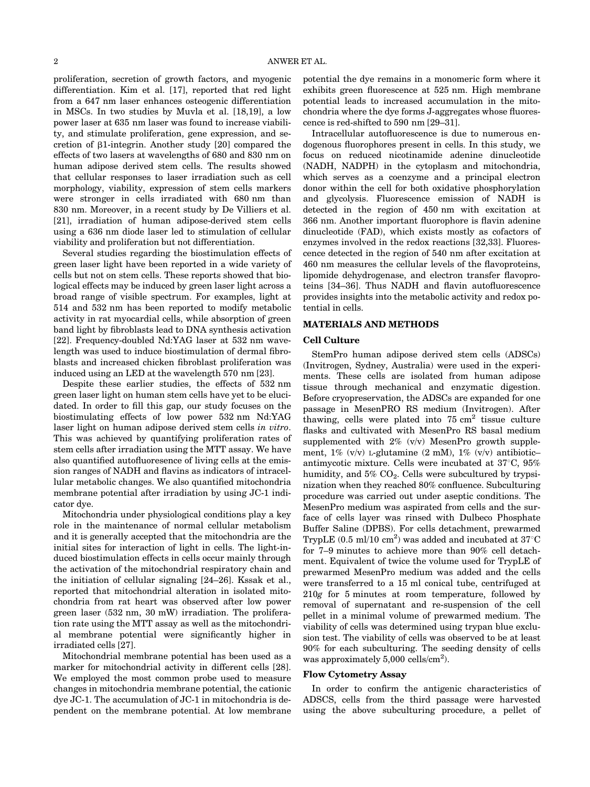proliferation, secretion of growth factors, and myogenic differentiation. Kim et al. [17], reported that red light from a 647 nm laser enhances osteogenic differentiation in MSCs. In two studies by Muvla et al. [18,19], a low power laser at 635 nm laser was found to increase viability, and stimulate proliferation, gene expression, and secretion of  $\beta$ 1-integrin. Another study [20] compared the effects of two lasers at wavelengths of 680 and 830 nm on human adipose derived stem cells. The results showed that cellular responses to laser irradiation such as cell morphology, viability, expression of stem cells markers were stronger in cells irradiated with 680 nm than 830 nm. Moreover, in a recent study by De Villiers et al. [21], irradiation of human adipose-derived stem cells using a 636 nm diode laser led to stimulation of cellular viability and proliferation but not differentiation.

Several studies regarding the biostimulation effects of green laser light have been reported in a wide variety of cells but not on stem cells. These reports showed that biological effects may be induced by green laser light across a broad range of visible spectrum. For examples, light at 514 and 532 nm has been reported to modify metabolic activity in rat myocardial cells, while absorption of green band light by fibroblasts lead to DNA synthesis activation [22]. Frequency-doubled Nd:YAG laser at 532 nm wavelength was used to induce biostimulation of dermal fibroblasts and increased chicken fibroblast proliferation was induced using an LED at the wavelength 570 nm [23].

Despite these earlier studies, the effects of 532 nm green laser light on human stem cells have yet to be elucidated. In order to fill this gap, our study focuses on the biostimulating effects of low power 532 nm Nd:YAG laser light on human adipose derived stem cells in vitro. This was achieved by quantifying proliferation rates of stem cells after irradiation using the MTT assay. We have also quantified autofluoresence of living cells at the emission ranges of NADH and flavins as indicators of intracellular metabolic changes. We also quantified mitochondria membrane potential after irradiation by using JC-1 indicator dye.

Mitochondria under physiological conditions play a key role in the maintenance of normal cellular metabolism and it is generally accepted that the mitochondria are the initial sites for interaction of light in cells. The light-induced biostimulation effects in cells occur mainly through the activation of the mitochondrial respiratory chain and the initiation of cellular signaling [24–26]. Kssak et al., reported that mitochondrial alteration in isolated mitochondria from rat heart was observed after low power green laser (532 nm, 30 mW) irradiation. The proliferation rate using the MTT assay as well as the mitochondrial membrane potential were significantly higher in irradiated cells [27].

Mitochondrial membrane potential has been used as a marker for mitochondrial activity in different cells [28]. We employed the most common probe used to measure changes in mitochondria membrane potential, the cationic dye JC-1. The accumulation of JC-1 in mitochondria is dependent on the membrane potential. At low membrane

potential the dye remains in a monomeric form where it exhibits green fluorescence at 525 nm. High membrane potential leads to increased accumulation in the mitochondria where the dye forms J-aggregates whose fluorescence is red-shifted to 590 nm [29–31].

Intracellular autofluorescence is due to numerous endogenous fluorophores present in cells. In this study, we focus on reduced nicotinamide adenine dinucleotide (NADH, NADPH) in the cytoplasm and mitochondria, which serves as a coenzyme and a principal electron donor within the cell for both oxidative phosphorylation and glycolysis. Fluorescence emission of NADH is detected in the region of 450 nm with excitation at 366 nm. Another important fluorophore is flavin adenine dinucleotide (FAD), which exists mostly as cofactors of enzymes involved in the redox reactions [32,33]. Fluorescence detected in the region of 540 nm after excitation at 460 nm measures the cellular levels of the flavoproteins, lipomide dehydrogenase, and electron transfer flavoproteins [34–36]. Thus NADH and flavin autofluorescence provides insights into the metabolic activity and redox potential in cells.

#### MATERIALS AND METHODS

#### Cell Culture

StemPro human adipose derived stem cells (ADSCs) (Invitrogen, Sydney, Australia) were used in the experiments. These cells are isolated from human adipose tissue through mechanical and enzymatic digestion. Before cryopreservation, the ADSCs are expanded for one passage in MesenPRO RS medium (Invitrogen). After thawing, cells were plated into  $75 \text{ cm}^2$  tissue culture flasks and cultivated with MesenPro RS basal medium supplemented with 2% (v/v) MesenPro growth supplement, 1% (v/v) L-glutamine (2 mM), 1% (v/v) antibiotic– antimycotic mixture. Cells were incubated at  $37^{\circ}$ C,  $95\%$ humidity, and  $5\%$  CO<sub>2</sub>. Cells were subcultured by trypsinization when they reached 80% confluence. Subculturing procedure was carried out under aseptic conditions. The MesenPro medium was aspirated from cells and the surface of cells layer was rinsed with Dulbeco Phosphate Buffer Saline (DPBS). For cells detachment, prewarmed TrypLE  $(0.5 \text{ ml}/10 \text{ cm}^2)$  was added and incubated at  $37^{\circ}\text{C}$ for 7–9 minutes to achieve more than 90% cell detachment. Equivalent of twice the volume used for TrypLE of prewarmed MesenPro medium was added and the cells were transferred to a 15 ml conical tube, centrifuged at 210g for 5 minutes at room temperature, followed by removal of supernatant and re-suspension of the cell pellet in a minimal volume of prewarmed medium. The viability of cells was determined using trypan blue exclusion test. The viability of cells was observed to be at least 90% for each subculturing. The seeding density of cells was approximately  $5,000$  cells/cm<sup>2</sup>).

#### Flow Cytometry Assay

In order to confirm the antigenic characteristics of ADSCS, cells from the third passage were harvested using the above subculturing procedure, a pellet of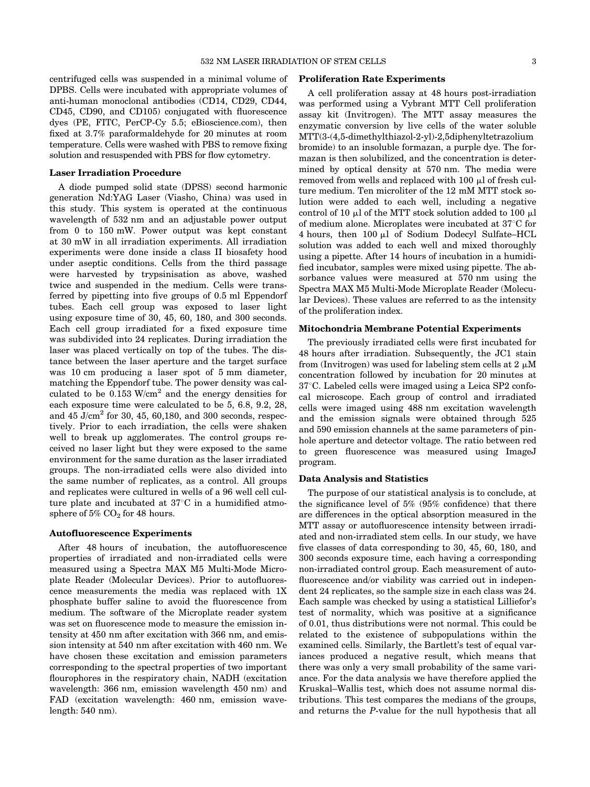centrifuged cells was suspended in a minimal volume of DPBS. Cells were incubated with appropriate volumes of anti-human monoclonal antibodies (CD14, CD29, CD44, CD45, CD90, and CD105) conjugated with fluorescence dyes (PE, FITC, PerCP-Cy 5.5; eBioscience.com), then fixed at 3.7% paraformaldehyde for 20 minutes at room temperature. Cells were washed with PBS to remove fixing solution and resuspended with PBS for flow cytometry.

#### Laser Irradiation Procedure

A diode pumped solid state (DPSS) second harmonic generation Nd:YAG Laser (Viasho, China) was used in this study. This system is operated at the continuous wavelength of 532 nm and an adjustable power output from 0 to 150 mW. Power output was kept constant at 30 mW in all irradiation experiments. All irradiation experiments were done inside a class II biosafety hood under aseptic conditions. Cells from the third passage were harvested by trypsinisation as above, washed twice and suspended in the medium. Cells were transferred by pipetting into five groups of 0.5 ml Eppendorf tubes. Each cell group was exposed to laser light using exposure time of 30, 45, 60, 180, and 300 seconds. Each cell group irradiated for a fixed exposure time was subdivided into 24 replicates. During irradiation the laser was placed vertically on top of the tubes. The distance between the laser aperture and the target surface was 10 cm producing a laser spot of 5 mm diameter, matching the Eppendorf tube. The power density was calculated to be 0.153 W/cm<sup>2</sup> and the energy densities for each exposure time were calculated to be 5, 6.8, 9.2, 28, and  $45 \text{ J/cm}^2$  for 30, 45, 60, 180, and 300 seconds, respectively. Prior to each irradiation, the cells were shaken well to break up agglomerates. The control groups received no laser light but they were exposed to the same environment for the same duration as the laser irradiated groups. The non-irradiated cells were also divided into the same number of replicates, as a control. All groups and replicates were cultured in wells of a 96 well cell culture plate and incubated at  $37^{\circ}$ C in a humidified atmosphere of  $5\%$  CO<sub>2</sub> for 48 hours.

#### Autofluorescence Experiments

After 48 hours of incubation, the autofluorescence properties of irradiated and non-irradiated cells were measured using a Spectra MAX M5 Multi-Mode Microplate Reader (Molecular Devices). Prior to autofluorescence measurements the media was replaced with 1X phosphate buffer saline to avoid the fluorescence from medium. The software of the Microplate reader system was set on fluorescence mode to measure the emission intensity at 450 nm after excitation with 366 nm, and emission intensity at 540 nm after excitation with 460 nm. We have chosen these excitation and emission parameters corresponding to the spectral properties of two important flourophores in the respiratory chain, NADH (excitation wavelength: 366 nm, emission wavelength 450 nm) and FAD (excitation wavelength: 460 nm, emission wavelength: 540 nm).

#### Proliferation Rate Experiments

A cell proliferation assay at 48 hours post-irradiation was performed using a Vybrant MTT Cell proliferation assay kit (Invitrogen). The MTT assay measures the enzymatic conversion by live cells of the water soluble MTT(3-(4,5-dimethylthiazol-2-yl)-2,5diphenyltetrazolium bromide) to an insoluble formazan, a purple dye. The formazan is then solubilized, and the concentration is determined by optical density at 570 nm. The media were removed from wells and replaced with  $100 \mu$  of fresh culture medium. Ten microliter of the 12 mM MTT stock solution were added to each well, including a negative control of 10  $\mu$ l of the MTT stock solution added to 100  $\mu$ l of medium alone. Microplates were incubated at  $37^{\circ}$ C for 4 hours, then 100 ml of Sodium Dodecyl Sulfate–HCL solution was added to each well and mixed thoroughly using a pipette. After 14 hours of incubation in a humidified incubator, samples were mixed using pipette. The absorbance values were measured at 570 nm using the Spectra MAX M5 Multi-Mode Microplate Reader (Molecular Devices). These values are referred to as the intensity of the proliferation index.

## Mitochondria Membrane Potential Experiments

The previously irradiated cells were first incubated for 48 hours after irradiation. Subsequently, the JC1 stain from (Invitrogen) was used for labeling stem cells at  $2 \mu M$ concentration followed by incubation for 20 minutes at  $37^{\circ}$ C. Labeled cells were imaged using a Leica SP2 confocal microscope. Each group of control and irradiated cells were imaged using 488 nm excitation wavelength and the emission signals were obtained through 525 and 590 emission channels at the same parameters of pinhole aperture and detector voltage. The ratio between red to green fluorescence was measured using ImageJ program.

#### Data Analysis and Statistics

The purpose of our statistical analysis is to conclude, at the significance level of 5% (95% confidence) that there are differences in the optical absorption measured in the MTT assay or autofluorescence intensity between irradiated and non-irradiated stem cells. In our study, we have five classes of data corresponding to 30, 45, 60, 180, and 300 seconds exposure time, each having a corresponding non-irradiated control group. Each measurement of autofluorescence and/or viability was carried out in independent 24 replicates, so the sample size in each class was 24. Each sample was checked by using a statistical Lilliefor's test of normality, which was positive at a significance of 0.01, thus distributions were not normal. This could be related to the existence of subpopulations within the examined cells. Similarly, the Bartlett's test of equal variances produced a negative result, which means that there was only a very small probability of the same variance. For the data analysis we have therefore applied the Kruskal–Wallis test, which does not assume normal distributions. This test compares the medians of the groups, and returns the P-value for the null hypothesis that all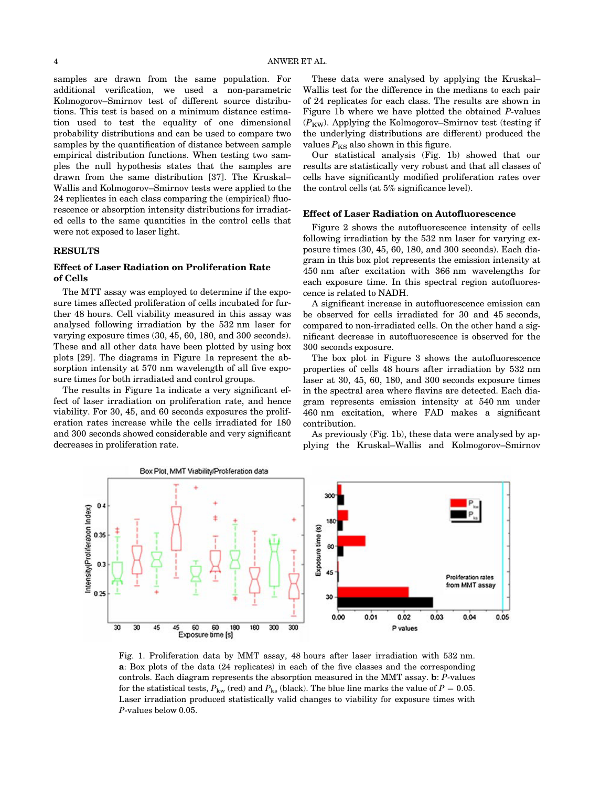samples are drawn from the same population. For additional verification, we used a non-parametric Kolmogorov–Smirnov test of different source distributions. This test is based on a minimum distance estimation used to test the equality of one dimensional probability distributions and can be used to compare two samples by the quantification of distance between sample empirical distribution functions. When testing two samples the null hypothesis states that the samples are drawn from the same distribution [37]. The Kruskal– Wallis and Kolmogorov–Smirnov tests were applied to the 24 replicates in each class comparing the (empirical) fluorescence or absorption intensity distributions for irradiated cells to the same quantities in the control cells that were not exposed to laser light.

### RESULTS

# Effect of Laser Radiation on Proliferation Rate of Cells

The MTT assay was employed to determine if the exposure times affected proliferation of cells incubated for further 48 hours. Cell viability measured in this assay was analysed following irradiation by the 532 nm laser for varying exposure times (30, 45, 60, 180, and 300 seconds). These and all other data have been plotted by using box plots [29]. The diagrams in Figure 1a represent the absorption intensity at 570 nm wavelength of all five exposure times for both irradiated and control groups.

The results in Figure 1a indicate a very significant effect of laser irradiation on proliferation rate, and hence viability. For 30, 45, and 60 seconds exposures the proliferation rates increase while the cells irradiated for 180 and 300 seconds showed considerable and very significant decreases in proliferation rate.

These data were analysed by applying the Kruskal– Wallis test for the difference in the medians to each pair of 24 replicates for each class. The results are shown in Figure 1b where we have plotted the obtained P-values  $(P_{\text{KW}})$ . Applying the Kolmogorov–Smirnov test (testing if the underlying distributions are different) produced the values  $P_{KS}$  also shown in this figure.

Our statistical analysis (Fig. 1b) showed that our results are statistically very robust and that all classes of cells have significantly modified proliferation rates over the control cells (at 5% significance level).

# Effect of Laser Radiation on Autofluorescence

Figure 2 shows the autofluorescence intensity of cells following irradiation by the 532 nm laser for varying exposure times (30, 45, 60, 180, and 300 seconds). Each diagram in this box plot represents the emission intensity at 450 nm after excitation with 366 nm wavelengths for each exposure time. In this spectral region autofluorescence is related to NADH.

A significant increase in autofluorescence emission can be observed for cells irradiated for 30 and 45 seconds, compared to non-irradiated cells. On the other hand a significant decrease in autofluorescence is observed for the 300 seconds exposure.

The box plot in Figure 3 shows the autofluorescence properties of cells 48 hours after irradiation by 532 nm laser at 30, 45, 60, 180, and 300 seconds exposure times in the spectral area where flavins are detected. Each diagram represents emission intensity at 540 nm under 460 nm excitation, where FAD makes a significant contribution.

As previously (Fig. 1b), these data were analysed by applying the Kruskal–Wallis and Kolmogorov–Smirnov



Fig. 1. Proliferation data by MMT assay, 48 hours after laser irradiation with 532 nm. a: Box plots of the data (24 replicates) in each of the five classes and the corresponding controls. Each diagram represents the absorption measured in the MMT assay. b: P-values for the statistical tests,  $P_{kw}$  (red) and  $P_{ks}$  (black). The blue line marks the value of  $P = 0.05$ . Laser irradiation produced statistically valid changes to viability for exposure times with P-values below 0.05.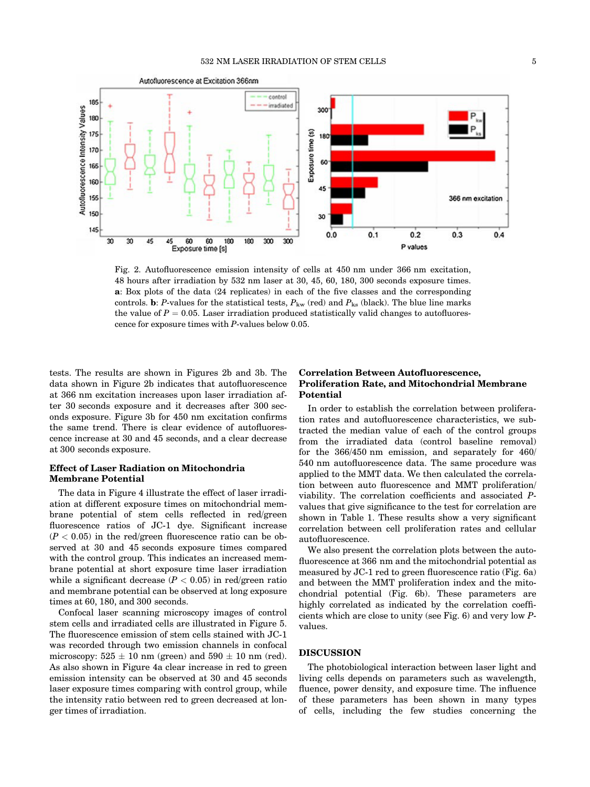

Fig. 2. Autofluorescence emission intensity of cells at 450 nm under 366 nm excitation, 48 hours after irradiation by 532 nm laser at 30, 45, 60, 180, 300 seconds exposure times. a: Box plots of the data (24 replicates) in each of the five classes and the corresponding controls. **b**: P-values for the statistical tests,  $P_{kw}$  (red) and  $P_{ks}$  (black). The blue line marks the value of  $P = 0.05$ . Laser irradiation produced statistically valid changes to autofluorescence for exposure times with P-values below 0.05.

tests. The results are shown in Figures 2b and 3b. The data shown in Figure 2b indicates that autofluorescence at 366 nm excitation increases upon laser irradiation after 30 seconds exposure and it decreases after 300 seconds exposure. Figure 3b for 450 nm excitation confirms the same trend. There is clear evidence of autofluorescence increase at 30 and 45 seconds, and a clear decrease at 300 seconds exposure.

# Effect of Laser Radiation on Mitochondria Membrane Potential

The data in Figure 4 illustrate the effect of laser irradiation at different exposure times on mitochondrial membrane potential of stem cells reflected in red/green fluorescence ratios of JC-1 dye. Significant increase  $(P < 0.05)$  in the red/green fluorescence ratio can be observed at 30 and 45 seconds exposure times compared with the control group. This indicates an increased membrane potential at short exposure time laser irradiation while a significant decrease  $(P < 0.05)$  in red/green ratio and membrane potential can be observed at long exposure times at 60, 180, and 300 seconds.

Confocal laser scanning microscopy images of control stem cells and irradiated cells are illustrated in Figure 5. The fluorescence emission of stem cells stained with JC-1 was recorded through two emission channels in confocal microscopy:  $525 \pm 10$  nm (green) and  $590 \pm 10$  nm (red). As also shown in Figure 4a clear increase in red to green emission intensity can be observed at 30 and 45 seconds laser exposure times comparing with control group, while the intensity ratio between red to green decreased at longer times of irradiation.

# Correlation Between Autofluorescence, Proliferation Rate, and Mitochondrial Membrane Potential

In order to establish the correlation between proliferation rates and autofluorescence characteristics, we subtracted the median value of each of the control groups from the irradiated data (control baseline removal) for the 366/450 nm emission, and separately for 460/ 540 nm autofluorescence data. The same procedure was applied to the MMT data. We then calculated the correlation between auto fluorescence and MMT proliferation/ viability. The correlation coefficients and associated Pvalues that give significance to the test for correlation are shown in Table 1. These results show a very significant correlation between cell proliferation rates and cellular autofluorescence.

We also present the correlation plots between the autofluorescence at 366 nm and the mitochondrial potential as measured by JC-1 red to green fluorescence ratio (Fig. 6a) and between the MMT proliferation index and the mitochondrial potential (Fig. 6b). These parameters are highly correlated as indicated by the correlation coefficients which are close to unity (see Fig. 6) and very low Pvalues.

## DISCUSSION

The photobiological interaction between laser light and living cells depends on parameters such as wavelength, fluence, power density, and exposure time. The influence of these parameters has been shown in many types of cells, including the few studies concerning the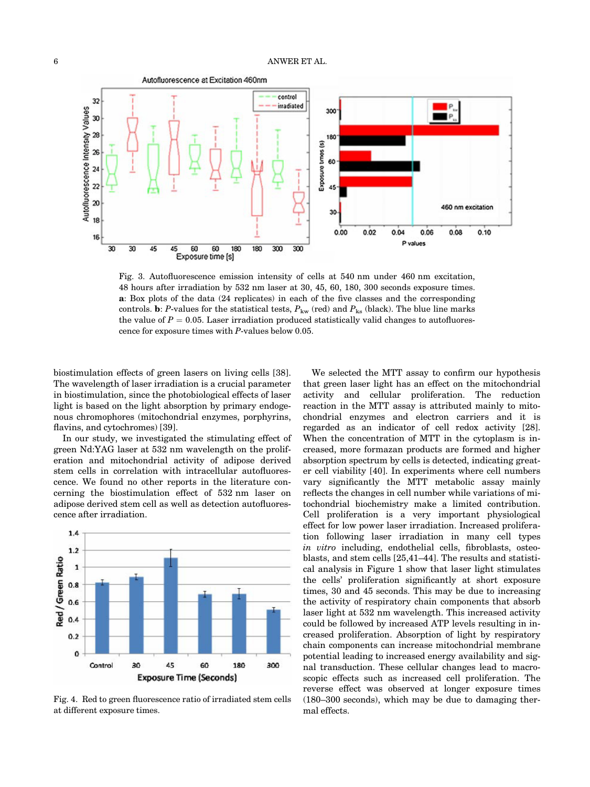

Fig. 3. Autofluorescence emission intensity of cells at 540 nm under 460 nm excitation, 48 hours after irradiation by 532 nm laser at 30, 45, 60, 180, 300 seconds exposure times. a: Box plots of the data (24 replicates) in each of the five classes and the corresponding controls. b: P-values for the statistical tests,  $P_{kw}$  (red) and  $P_{ks}$  (black). The blue line marks the value of  $P = 0.05$ . Laser irradiation produced statistically valid changes to autofluorescence for exposure times with P-values below 0.05.

biostimulation effects of green lasers on living cells [38]. The wavelength of laser irradiation is a crucial parameter in biostimulation, since the photobiological effects of laser light is based on the light absorption by primary endogenous chromophores (mitochondrial enzymes, porphyrins, flavins, and cytochromes) [39].

In our study, we investigated the stimulating effect of green Nd:YAG laser at 532 nm wavelength on the proliferation and mitochondrial activity of adipose derived stem cells in correlation with intracellular autofluorescence. We found no other reports in the literature concerning the biostimulation effect of 532 nm laser on adipose derived stem cell as well as detection autofluorescence after irradiation.



Fig. 4. Red to green fluorescence ratio of irradiated stem cells at different exposure times.

We selected the MTT assay to confirm our hypothesis that green laser light has an effect on the mitochondrial activity and cellular proliferation. The reduction reaction in the MTT assay is attributed mainly to mitochondrial enzymes and electron carriers and it is regarded as an indicator of cell redox activity [28]. When the concentration of MTT in the cytoplasm is increased, more formazan products are formed and higher absorption spectrum by cells is detected, indicating greater cell viability [40]. In experiments where cell numbers vary significantly the MTT metabolic assay mainly reflects the changes in cell number while variations of mitochondrial biochemistry make a limited contribution. Cell proliferation is a very important physiological effect for low power laser irradiation. Increased proliferation following laser irradiation in many cell types in vitro including, endothelial cells, fibroblasts, osteoblasts, and stem cells [25,41–44]. The results and statistical analysis in Figure 1 show that laser light stimulates the cells' proliferation significantly at short exposure times, 30 and 45 seconds. This may be due to increasing the activity of respiratory chain components that absorb laser light at 532 nm wavelength. This increased activity could be followed by increased ATP levels resulting in increased proliferation. Absorption of light by respiratory chain components can increase mitochondrial membrane potential leading to increased energy availability and signal transduction. These cellular changes lead to macroscopic effects such as increased cell proliferation. The reverse effect was observed at longer exposure times (180–300 seconds), which may be due to damaging thermal effects.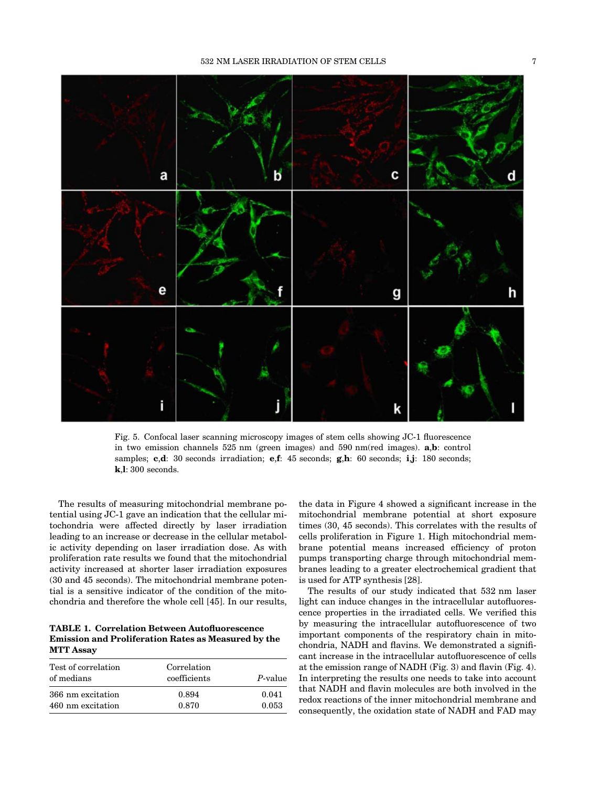



Fig. 5. Confocal laser scanning microscopy images of stem cells showing JC-1 fluorescence in two emission channels 525 nm (green images) and 590 nm(red images). a,b: control samples; c,d: 30 seconds irradiation; e,f: 45 seconds; g,h: 60 seconds; i,j: 180 seconds; k,l: 300 seconds.

The results of measuring mitochondrial membrane potential using JC-1 gave an indication that the cellular mitochondria were affected directly by laser irradiation leading to an increase or decrease in the cellular metabolic activity depending on laser irradiation dose. As with proliferation rate results we found that the mitochondrial activity increased at shorter laser irradiation exposures (30 and 45 seconds). The mitochondrial membrane potential is a sensitive indicator of the condition of the mitochondria and therefore the whole cell [45]. In our results,

TABLE 1. Correlation Between Autofluorescence Emission and Proliferation Rates as Measured by the MTT Assay

| Correlation<br>coefficients | P-value        |
|-----------------------------|----------------|
| 0.894<br>0.870              | 0.041<br>0.053 |
|                             |                |

the data in Figure 4 showed a significant increase in the mitochondrial membrane potential at short exposure times (30, 45 seconds). This correlates with the results of cells proliferation in Figure 1. High mitochondrial membrane potential means increased efficiency of proton pumps transporting charge through mitochondrial membranes leading to a greater electrochemical gradient that is used for ATP synthesis [28].

The results of our study indicated that 532 nm laser light can induce changes in the intracellular autofluorescence properties in the irradiated cells. We verified this by measuring the intracellular autofluorescence of two important components of the respiratory chain in mitochondria, NADH and flavins. We demonstrated a significant increase in the intracellular autofluorescence of cells at the emission range of NADH (Fig. 3) and flavin (Fig. 4). In interpreting the results one needs to take into account that NADH and flavin molecules are both involved in the redox reactions of the inner mitochondrial membrane and consequently, the oxidation state of NADH and FAD may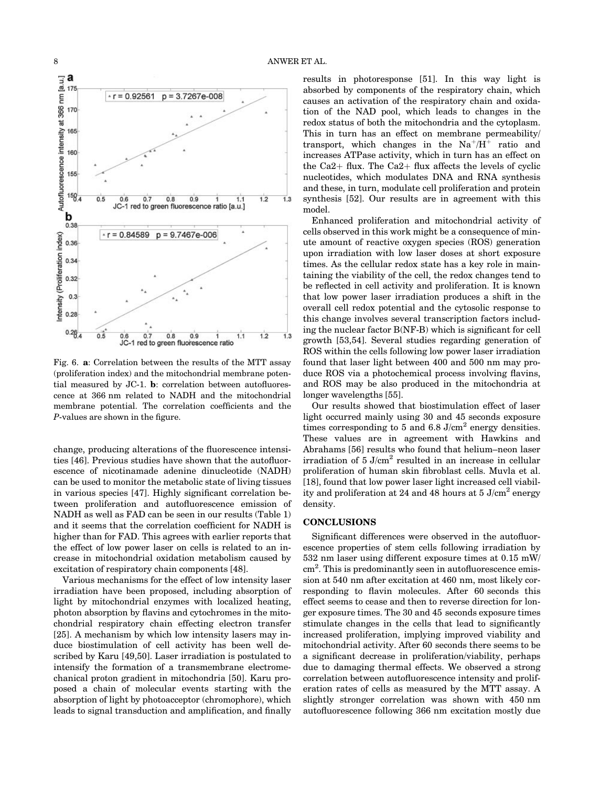

Fig. 6. a: Correlation between the results of the MTT assay (proliferation index) and the mitochondrial membrane potential measured by JC-1. b: correlation between autofluorescence at 366 nm related to NADH and the mitochondrial membrane potential. The correlation coefficients and the P-values are shown in the figure.

change, producing alterations of the fluorescence intensities [46]. Previous studies have shown that the autofluorescence of nicotinamade adenine dinucleotide (NADH) can be used to monitor the metabolic state of living tissues in various species [47]. Highly significant correlation between proliferation and autofluorescence emission of NADH as well as FAD can be seen in our results (Table 1) and it seems that the correlation coefficient for NADH is higher than for FAD. This agrees with earlier reports that the effect of low power laser on cells is related to an increase in mitochondrial oxidation metabolism caused by excitation of respiratory chain components [48].

Various mechanisms for the effect of low intensity laser irradiation have been proposed, including absorption of light by mitochondrial enzymes with localized heating, photon absorption by flavins and cytochromes in the mitochondrial respiratory chain effecting electron transfer [25]. A mechanism by which low intensity lasers may induce biostimulation of cell activity has been well described by Karu [49,50]. Laser irradiation is postulated to intensify the formation of a transmembrane electromechanical proton gradient in mitochondria [50]. Karu proposed a chain of molecular events starting with the absorption of light by photoacceptor (chromophore), which leads to signal transduction and amplification, and finally

results in photoresponse [51]. In this way light is absorbed by components of the respiratory chain, which causes an activation of the respiratory chain and oxidation of the NAD pool, which leads to changes in the redox status of both the mitochondria and the cytoplasm. This in turn has an effect on membrane permeability/ transport, which changes in the  $Na^{+}/H^{+}$  ratio and increases ATPase activity, which in turn has an effect on the Ca2+ flux. The Ca2+ flux affects the levels of cyclic nucleotides, which modulates DNA and RNA synthesis and these, in turn, modulate cell proliferation and protein synthesis [52]. Our results are in agreement with this model.

Enhanced proliferation and mitochondrial activity of cells observed in this work might be a consequence of minute amount of reactive oxygen species (ROS) generation upon irradiation with low laser doses at short exposure times. As the cellular redox state has a key role in maintaining the viability of the cell, the redox changes tend to be reflected in cell activity and proliferation. It is known that low power laser irradiation produces a shift in the overall cell redox potential and the cytosolic response to this change involves several transcription factors including the nuclear factor B(NF-B) which is significant for cell growth [53,54]. Several studies regarding generation of ROS within the cells following low power laser irradiation found that laser light between 400 and 500 nm may produce ROS via a photochemical process involving flavins, and ROS may be also produced in the mitochondria at longer wavelengths [55].

Our results showed that biostimulation effect of laser light occurred mainly using 30 and 45 seconds exposure times corresponding to 5 and  $6.8$  J/cm<sup>2</sup> energy densities. These values are in agreement with Hawkins and Abrahams [56] results who found that helium–neon laser irradiation of  $5 \text{ J/cm}^2$  resulted in an increase in cellular proliferation of human skin fibroblast cells. Muvla et al. [18], found that low power laser light increased cell viability and proliferation at 24 and 48 hours at  $5 \text{ J/cm}^2$  energy density.

# **CONCLUSIONS**

Significant differences were observed in the autofluorescence properties of stem cells following irradiation by 532 nm laser using different exposure times at 0.15 mW/ cm<sup>2</sup>. This is predominantly seen in autofluorescence emission at 540 nm after excitation at 460 nm, most likely corresponding to flavin molecules. After 60 seconds this effect seems to cease and then to reverse direction for longer exposure times. The 30 and 45 seconds exposure times stimulate changes in the cells that lead to significantly increased proliferation, implying improved viability and mitochondrial activity. After 60 seconds there seems to be a significant decrease in proliferation/viability, perhaps due to damaging thermal effects. We observed a strong correlation between autofluorescence intensity and proliferation rates of cells as measured by the MTT assay. A slightly stronger correlation was shown with 450 nm autofluorescence following 366 nm excitation mostly due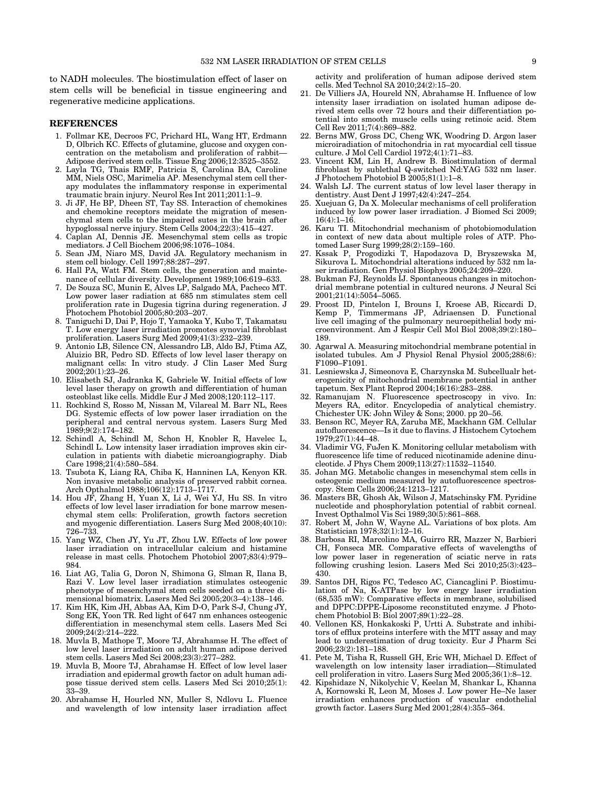to NADH molecules. The biostimulation effect of laser on stem cells will be beneficial in tissue engineering and regenerative medicine applications.

# **REFERENCES**

- 1. Follmar KE, Decroos FC, Prichard HL, Wang HT, Erdmann D, Olbrich KC. Effects of glutamine, glucose and oxygen concentration on the metabolism and proliferation of rabbit— Adipose derived stem cells. Tissue Eng 2006;12:3525–3552.
- 2. Layla TG, Thais RMF, Patricia S, Carolina BA, Caroline MM, Niels OSC, Marimelia AP. Mesenchymal stem cell therapy modulates the inflammatory response in experimental traumatic brain injury. Neurol Res Int 2011;2011:1–9.
- 3. Ji JF, He BP, Dheen ST, Tay SS. Interaction of chemokines and chemokine receptors meidate the migration of mesenchymal stem cells to the impaired sutes in the brain after hypoglossal nerve injury. Stem Cells 2004;22(3):415–427.
- 4. Caplan AI, Dennis JE. Mesenchymal stem cells as tropic mediators. J Cell Biochem 2006;98:1076–1084.
- 5. Sean JM, Niaro MS, David JA. Regulatory mechanism in stem cell biology. Cell 1997;88:287–297.
- 6. Hall PA, Watt FM. Stem cells, the generation and maintenance of cellular diversity. Development 1989;106:619–633.
- 7. De Souza SC, Munin E, Alves LP, Salgado MA, Pacheco MT. Low power laser radiation at 685 nm stimulates stem cell proliferation rate in Dugesia tigrina during regeneration. J Photochem Photobiol 2005;80:203–207.
- 8. Taniguchi D, Dai P, Hojo T, Yamaoka Y, Kubo T, Takamatsu T. Low energy laser irradiation promotes synovial fibroblast proliferation. Lasers Surg Med 2009;41(3):232–239.
- 9. Antonio LB, Silence CN, Alessandro LB, Aldo BJ, Ftima AZ, Aluizio BR, Pedro SD. Effects of low level laser therapy on malignant cells: In vitro study. J Clin Laser Med Surg 2002;20(1):23–26.
- 10. Elisabeth SJ, Jadranka K, Gabriele W. Initial effects of low level laser therapy on growth and differentiation of human osteoblast like cells. Middle Eur J Med 2008;120:112–117.
- 11. Rochkind S, Rosso M, Nissan M, Vilareal M. Barr NL, Rees DG. Systemic effects of low power laser irradiation on the peripheral and central nervous system. Lasers Surg Med 1989;9(2):174–182.
- 12. Schindl A, Schindl M, Schon H, Knobler R, Havelec L, Schindl L. Low intensity laser irradiation improves skin circulation in patients with diabetic microangiography. Diab Care  $1998;21(4):580-584$ .
- 13. Tsubota K, Liang RA, Chiba K, Hanninen LA, Kenyon KR. Non invasive metabolic analysis of preserved rabbit cornea. Arch Opthalmol 1988;106(12):1713–1717.
- 14. Hou JF, Zhang H, Yuan X, Li J, Wei YJ, Hu SS. In vitro effects of low level laser irradiation for bone marrow mesenchymal stem cells: Proliferation, growth factors secretion and myogenic differentiation. Lasers Surg Med 2008;40(10): 726–733.
- 15. Yang WZ, Chen JY, Yu JT, Zhou LW. Effects of low power laser irradiation on intracellular calcium and histamine release in mast cells. Photochem Photobiol 2007;83(4):979– 984.
- 16. Liat AG, Talia G, Doron N, Shimona G, Slman R, Ilana B, Razi V. Low level laser irradiation stimulates osteogenic phenotype of mesenchymal stem cells seeded on a three dimensional biomatrix. Lasers Med Sci 2005;20(3–4):138–146.
- 17. Kim HK, Kim JH, Abbas AA, Kim D-O, Park S-J, Chung JY, Song EK, Yoon TR. Red light of 647 nm enhances osteogenic differentiation in mesenchymal stem cells. Lasers Med Sci 2009;24(2):214–222.
- 18. Muvla B, Mathope T, Moore TJ, Abrahamse H. The effect of low level laser irradiation on adult human adipose derived stem cells. Lasers Med Sci 2008;23(3):277–282.
- 19. Muvla B, Moore TJ, Abrahamse H. Effect of low level laser irradiation and epidermal growth factor on adult human adipose tissue derived stem cells. Lasers Med Sci 2010;25(1): 33–39.
- 20. Abrahamse H, Hourled NN, Muller S, Ndlovu L. Fluence and wavelength of low intensity laser irradiation affect

activity and proliferation of human adipose derived stem cells. Med Technol SA 2010;24(2):15–20.

- 21. De Villiers JA, Houreld NN, Abrahamse H. Influence of low intensity laser irradiation on isolated human adipose derived stem cells over 72 hours and their differentiation potential into smooth muscle cells using retinoic acid. Stem Cell Rev 2011;7(4):869–882.
- 22. Berns MW, Gross DC, Cheng WK, Woodring D. Argon laser microiradiation of mitochondria in rat myocardial cell tissue culture. J Mol Cell Cardiol 1972;4(1):71–83.
- 23. Vincent KM, Lin H, Andrew B. Biostimulation of dermal fibroblast by sublethal Q-switched Nd:YAG 532 nm laser. J Photochem Photobiol B 2005;81(1):1–8.
- 24. Walsh LJ. The current status of low level laser therapy in dentistry. Aust Dent J 1997;42(4):247–254.
- 25. Xuejuan G, Da X. Molecular mechanisms of cell proliferation induced by low power laser irradiation. J Biomed Sci 2009; 16(4):1–16.
- 26. Karu TI. Mitochondrial mechanism of photobiomodulation in context of new data about multiple roles of ATP. Photomed Laser Surg 1999;28(2):159–160.
- 27. Kssak P, Progodizki T, Hapodazova D, Bryszewska M, Sikurova L. Mitochondrial alterations induced by 532 nm laser irradiation. Gen Physiol Biophys 2005;24:209–220.
- 28. Bukman FJ, Reynolds IJ. Spontaneous changes in mitochondrial membrane potential in cultured neurons. J Neural Sci 2001;21(14):5054–5065.
- 29. Proost ID, Pintelon I, Brouns I, Kroese AB, Riccardi D, Kemp P, Timmermans JP, Adriaensen D. Functional live cell imaging of the pulmonary neuroepithelial body microenvironment. Am J Respir Cell Mol Biol 2008;39(2):180– 189.
- 30. Agarwal A. Measuring mitochondrial membrane potential in isolated tubules. Am J Physiol Renal Physiol 2005;288(6): F1090–F1091.
- 31. Lesniewska J, Simeonova E, Charzynska M. Subcellualr heterogenicity of mitochondrial membrane potential in anther tapetum. Sex Plant Reprod 2004;16(16):283–288.
- 32. Ramanujam N. Fluorescence spectroscopy in vivo. In: Meyers RA, editor. Encyclopedia of analytical chemistry. Chichester UK: John Wiley & Sons; 2000. pp 20–56.
- 33. Benson RC, Meyer RA, Zaruba ME, Mackhann GM. Cellular autofluorescence—Is it due to flavins. J Histochem Cytochem 1979;27(1):44–48.
- 34. Vladimir VG, FuJen K. Monitoring cellular metabolism with fluorescence life time of reduced nicotinamide adenine dinucleotide. J Phys Chem 2009;113(27):11532–11540.
- 35. Johan MG. Metabolic changes in mesenchymal stem cells in osteogenic medium measured by autofluorescence spectroscopy. Stem Cells 2006;24:1213–1217.
- 36. Masters BR, Ghosh Ak, Wilson J, Matschinsky FM. Pyridine nucleotide and phosphorylation potential of rabbit corneal. Invest Opthalmol Vis Sci 1989;30(5):861–868.
- 37. Robert M, John W, Wayne AL. Variations of box plots. Am Statistician 1978;32(1):12–16.
- 38. Barbosa RI, Marcolino MA, Guirro RR, Mazzer N, Barbieri CH, Fonseca MR. Comparative effects of wavelengths of low power laser in regeneration of sciatic nerve in rats following crushing lesion. Lasers Med Sci 2010;25(3):423– 430.
- 39. Santos DH, Rigos FC, Tedesco AC, Ciancaglini P. Biostimulation of Na, K-ATPase by low energy laser irradiation (68,535 mW): Comparative effects in membrane, solubilised and DPPC:DPPE-Liposome reconstituted enzyme. J Photochem Photobiol B: Biol 2007;89(1):22–28.
- 40. Vellonen KS, Honkakoski P, Urtti A. Substrate and inhibitors of efflux proteins interfere with the MTT assay and may lead to underestimation of drug toxicity. Eur J Pharm Sci 2006;23(2):181–188.
- 41. Pete M, Tisha R, Russell GH, Eric WH, Michael D. Effect of wavelength on low intensity laser irradiation—Stimulated cell proliferation in vitro. Lasers Surg Med 2005;36(1):8–12.
- 42. Kipshidaze N, Nikolychic V, Keelan M, Shankar L, Khanna A, Kornowski R, Leon M, Moses J. Low power He–Ne laser irradiation enhances production of vascular endothelial growth factor. Lasers Surg Med 2001;28(4):355–364.